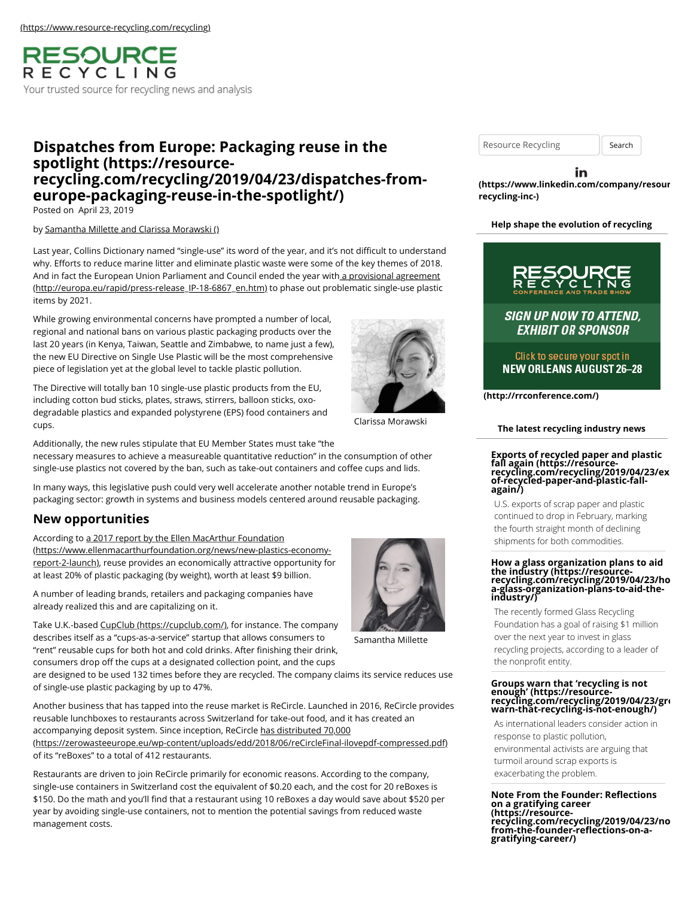RESOURCE RECYCLING Your trusted source for recycling news and analysis

# **Dispatches from Europe: Packaging reuse in the spotlight (https://resource[recycling.com/recycling/2019/04/23/dispatches-from](https://resource-recycling.com/recycling/2019/04/23/dispatches-from-europe-packaging-reuse-in-the-spotlight/)europe-packaging-reuse-in-the-spotlight/)**

Posted on April 23, 2019

#### by [Samantha Millette and Clarissa Morawski \(\)](https://resource-recycling.com/recycling/2019/04/23/dispatches-from-europe-packaging-reuse-in-the-spotlight/)

Last year, Collins Dictionary named "single-use" its word of the year, and it's not difficult to understand why. Efforts to reduce marine litter and eliminate plastic waste were some of the key themes of 2018. And in fact the European Union Parliament and Council ended the year with a provisional agreement [\(http://europa.eu/rapid/press-release\\_IP-18-6867\\_en.htm\) to phase out problematic single-use plastic](http://europa.eu/rapid/press-release_IP-18-6867_en.htm) items by 2021.

While growing environmental concerns have prompted a number of local, regional and national bans on various plastic packaging products over the last 20 years (in Kenya, Taiwan, Seattle and Zimbabwe, to name just a few), the new EU Directive on Single Use Plastic will be the most comprehensive piece of legislation yet at the global level to tackle plastic pollution.

The Directive will totally ban 10 single-use plastic products from the EU, including cotton bud sticks, plates, straws, stirrers, balloon sticks, oxodegradable plastics and expanded polystyrene (EPS) food containers and cups.

Additionally, the new rules stipulate that EU Member States must take "the necessary measures to achieve a measureable quantitative reduction" in the consumption of other single-use plastics not covered by the ban, such as take-out containers and coffee cups and lids.

In many ways, this legislative push could very well accelerate another notable trend in Europe's packaging sector: growth in systems and business models centered around reusable packaging.

## **New opportunities**

According to a 2017 report by the Ellen MacArthur Foundation [\(https://www.ellenmacarthurfoundation.org/news/new-plastics-economy](https://www.ellenmacarthurfoundation.org/news/new-plastics-economy-report-2-launch)report-2-launch), reuse provides an economically attractive opportunity for at least 20% of plastic packaging (by weight), worth at least \$9 billion.

A number of leading brands, retailers and packaging companies have already realized this and are capitalizing on it.

Take U.K.-based [CupClub \(https://cupclub.com/\)](https://cupclub.com/), for instance. The company describes itself as a "cups-as-a-service" startup that allows consumers to "rent" reusable cups for both hot and cold drinks. After finishing their drink, consumers drop off the cups at a designated collection point, and the cups

are designed to be used 132 times before they are recycled. The company claims its service reduces use of single-use plastic packaging by up to 47%.

Another business that has tapped into the reuse market is ReCircle. Launched in 2016, ReCircle provides reusable lunchboxes to restaurants across Switzerland for take-out food, and it has created an accompanying deposit system. Since inception, ReCircle has distributed 70,000 [\(https://zerowasteeurope.eu/wp-content/uploads/edd/2018/06/reCircleFinal-ilovepdf-compressed.pdf\)](https://zerowasteeurope.eu/wp-content/uploads/edd/2018/06/reCircleFinal-ilovepdf-compressed.pdf) of its "reBoxes" to a total of 412 restaurants.

Restaurants are driven to join ReCircle primarily for economic reasons. According to the company, single-use containers in Switzerland cost the equivalent of \$0.20 each, and the cost for 20 reBoxes is \$150. Do the math and you'll find that a restaurant using 10 reBoxes a day would save about \$520 per year by avoiding single-use containers, not to mention the potential savings from reduced waste management costs.

Clarissa Morawski

Resource Recycling | Search

in **[\(https://www.linkedin.com/company/resour](https://www.linkedin.com/company/resource-recycling-inc-)cerecycling-inc-)**

**Help shape the evolution of recycling**



**The latest recycling industry news**

U.S. exports of scrap paper and plastic continued to drop in February, marking the fourth straight month of declining shipments for both commodities.

**again/)**

**industry/)**

**Exports of recycled paper and plastic fall again (https://resource- [recycling.com/recycling/2019/04/23/exp](https://resource-recycling.com/recycling/2019/04/23/exports-of-recycled-paper-and-plastic-fall-again/)ortsof-recycled-paper-and-plastic-fall-**



Samantha Millette

Foundation has a goal of raising \$1 million over the next year to invest in glass recycling projects, according to a leader of the nonprofit entity.

The recently formed Glass Recycling

**How a glass organization plans to aid the industry (https://resource- [recycling.com/recycling/2019/04/23/ho](https://resource-recycling.com/recycling/2019/04/23/how-a-glass-organization-plans-to-aid-the-industry/)wa-glass-organization-plans-to-aid-the-**

# **Groups warn that 'recycling is not enough' (https://resource- [recycling.com/recycling/2019/04/23/gro](https://resource-recycling.com/recycling/2019/04/23/groups-warn-that-recycling-is-not-enough/)ups-warn-that-recycling-is-not-enough/)**

As international leaders consider action in response to plastic pollution, environmental activists are arguing that turmoil around scrap exports is exacerbating the problem.

**Note From the Founder: Reflections on a gratifying career (https://resource**[recycling.com/recycling/2019/04/23/no](https://resource-recycling.com/recycling/2019/04/23/note-from-the-founder-reflections-on-a-gratifying-career/)<br>from-the-founder-reflections-on-a**gratifying-career/)**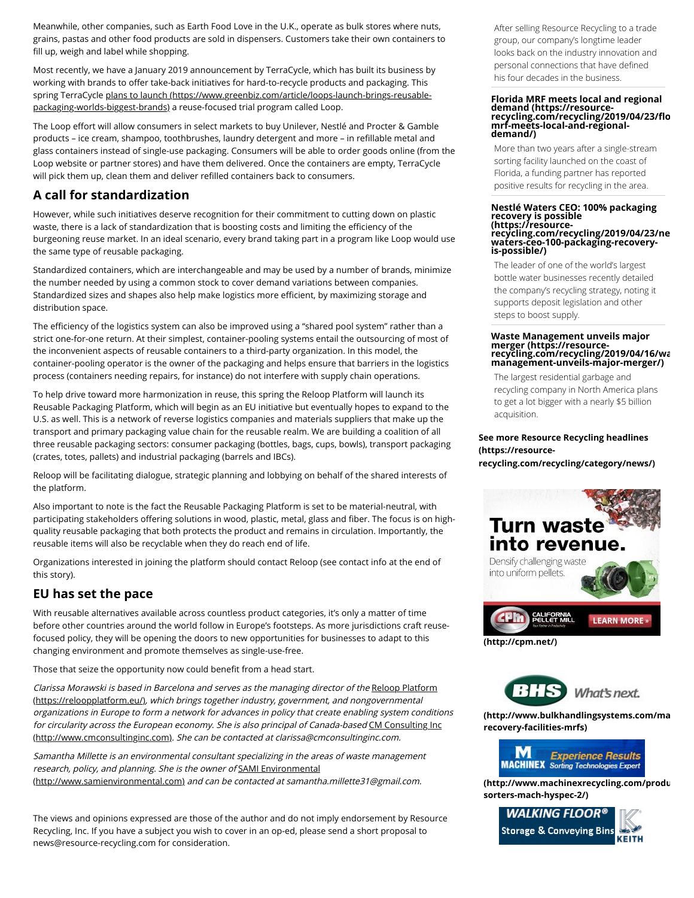Meanwhile, other companies, such as Earth Food Love in the U.K., operate as bulk stores where nuts, grains, pastas and other food products are sold in dispensers. Customers take their own containers to fill up, weigh and label while shopping.

Most recently, we have a January 2019 announcement by TerraCycle, which has built its business by working with brands to offer take-back initiatives for hard-to-recycle products and packaging. This [spring TerraCycle plans to launch \(https://www.greenbiz.com/article/loops-launch-brings-reusable](https://www.greenbiz.com/article/loops-launch-brings-reusable-packaging-worlds-biggest-brands)packaging-worlds-biggest-brands) a reuse-focused trial program called Loop.

The Loop effort will allow consumers in select markets to buy Unilever, Nestlé and Procter & Gamble products – ice cream, shampoo, toothbrushes, laundry detergent and more – in refillable metal and glass containers instead of single-use packaging. Consumers will be able to order goods online (from the Loop website or partner stores) and have them delivered. Once the containers are empty, TerraCycle will pick them up, clean them and deliver refilled containers back to consumers.

## **A call for standardization**

However, while such initiatives deserve recognition for their commitment to cutting down on plastic waste, there is a lack of standardization that is boosting costs and limiting the efficiency of the burgeoning reuse market. In an ideal scenario, every brand taking part in a program like Loop would use the same type of reusable packaging.

Standardized containers, which are interchangeable and may be used by a number of brands, minimize the number needed by using a common stock to cover demand variations between companies. Standardized sizes and shapes also help make logistics more efficient, by maximizing storage and distribution space.

The efficiency of the logistics system can also be improved using a "shared pool system" rather than a strict one-for-one return. At their simplest, container-pooling systems entail the outsourcing of most of the inconvenient aspects of reusable containers to a third-party organization. In this model, the container-pooling operator is the owner of the packaging and helps ensure that barriers in the logistics process (containers needing repairs, for instance) do not interfere with supply chain operations.

To help drive toward more harmonization in reuse, this spring the Reloop Platform will launch its Reusable Packaging Platform, which will begin as an EU initiative but eventually hopes to expand to the U.S. as well. This is a network of reverse logistics companies and materials suppliers that make up the transport and primary packaging value chain for the reusable realm. We are building a coalition of all three reusable packaging sectors: consumer packaging (bottles, bags, cups, bowls), transport packaging (crates, totes, pallets) and industrial packaging (barrels and IBCs).

Reloop will be facilitating dialogue, strategic planning and lobbying on behalf of the shared interests of the platform.

Also important to note is the fact the Reusable Packaging Platform is set to be material-neutral, with participating stakeholders offering solutions in wood, plastic, metal, glass and fiber. The focus is on highquality reusable packaging that both protects the product and remains in circulation. Importantly, the reusable items will also be recyclable when they do reach end of life.

Organizations interested in joining the platform should contact Reloop (see contact info at the end of this story).

## **EU has set the pace**

With reusable alternatives available across countless product categories, it's only a matter of time before other countries around the world follow in Europe's footsteps. As more jurisdictions craft reusefocused policy, they will be opening the doors to new opportunities for businesses to adapt to this changing environment and promote themselves as single-use-free.

Those that seize the opportunity now could benefit from a head start.

[Clarissa Morawski is based in Barcelona and serves as the managing director of the](https://reloopplatform.eu/) Reloop Platform (https://reloopplatform.eu/), which brings together industry, government, and nongovernmental organizations in Europe to form a network for advances in policy that create enabling system conditions [for circularity across the European economy. She is also principal of Canada-based](http://www.cmconsultinginc.com/) CM Consulting Inc (http://www.cmconsultinginc.com). She can be contacted at clarissa@cmconsultinginc.com.

Samantha Millette is an environmental consultant specializing in the areas of waste management [research, policy, and planning. She is the owner of](http://www.samienvironmental.com/) SAMI Environmental (http://www.samienvironmental.com) and can be contacted at samantha.millette31@gmail.com.

The views and opinions expressed are those of the author and do not imply endorsement by Resource Recycling, Inc. If you have a subject you wish to cover in an op-ed, please send a short proposal to news@resource-recycling.com for consideration.

After selling Resource Recycling to a trade group, our company's longtime leader looks back on the industry innovation and personal connections that have defined his four decades in the business.

## **[Florida MRF meets local and regional](https://resource-recycling.com/recycling/2019/04/23/florida-mrf-meets-local-and-regional-demand/) demand (https://resource- recycling.com/recycling/2019/04/23/florida-mrf-meets-local-and-regionaldemand/)**

More than two years after a single-stream sorting facility launched on the coast of Florida, a funding partner has reported positive results for recycling in the area.

#### **Nestlé Waters CEO: 100% packaging recovery is possible (https://resource[recycling.com/recycling/2019/04/23/ne](https://resource-recycling.com/recycling/2019/04/23/nestle-waters-ceo-100-packaging-recovery-is-possible/)stle-**

**waters-ceo-100-packaging-recoveryis-possible/)**

The leader of one of the world's largest bottle water businesses recently detailed the company's recycling strategy, noting it supports deposit legislation and other steps to boost supply.

#### **Waste Management unveils major merger (https://resource- [recycling.com/recycling/2019/04/16/wa](https://resource-recycling.com/recycling/2019/04/16/waste-management-unveils-major-merger/)stemanagement-unveils-major-merger/)**

The largest residential garbage and recycling company in North America plans to get a lot bigger with a nearly \$5 billion acquisition.

### **See more Resource Recycling headlines (https://resource-**

**[recycling.com/recycling/category/news/\)](https://resource-recycling.com/recycling/category/news/)**





**[\(http://www.bulkhandlingsystems.com/ma](http://www.bulkhandlingsystems.com/materials-recovery-facilities-mrfs)terialsrecovery-facilities-mrfs)**



**[\(http://www.machinexrecycling.com/produ](http://www.machinexrecycling.com/products/optical-sorters-mach-hyspec-2/)cts/opticalsorters-mach-hyspec-2/)**

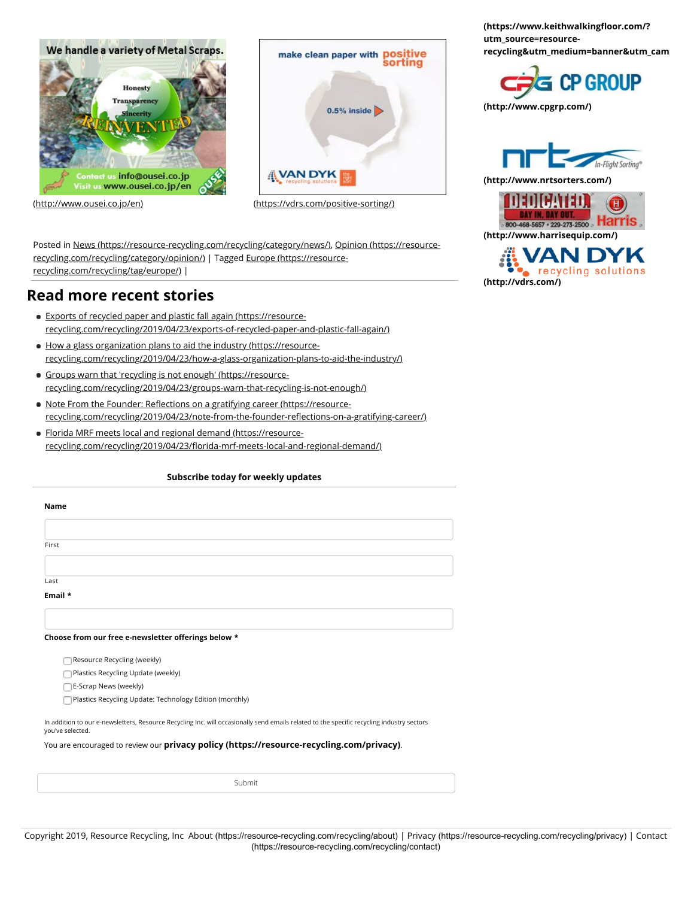

make clean paper with positive sorting  $0.5\%$  inside **NVAN DYK** 

[\(http://www.ousei.co.jp/en\)](http://www.ousei.co.jp/en) [\(https://vdrs.com/positive-sorting/\)](https://vdrs.com/positive-sorting/)

[Posted in](https://resource-recycling.com/recycling/category/opinion/) [News \(https://resource-recycling.com/recycling/category/news/\)](https://resource-recycling.com/recycling/category/news/)[, Opinion \(https://resource](https://resource-recycling.com/recycling/category/opinion/)[recycling.com/recycling/category/opinion/\)](https://resource-recycling.com/recycling/tag/europe/) | Tagged Europe (https://resourcerecycling.com/recycling/tag/europe/) |

## **Read more recent stories**

- Exports of recycled paper and plastic fall again (https://resource[recycling.com/recycling/2019/04/23/exports-of-recycled-paper-and-plastic-fall-again/\)](https://resource-recycling.com/recycling/2019/04/23/exports-of-recycled-paper-and-plastic-fall-again/)
- How a glass organization plans to aid the industry (https://resource[recycling.com/recycling/2019/04/23/how-a-glass-organization-plans-to-aid-the-industry/\)](https://resource-recycling.com/recycling/2019/04/23/how-a-glass-organization-plans-to-aid-the-industry/)
- Groups warn that 'recycling is not enough' (https://resource[recycling.com/recycling/2019/04/23/groups-warn-that-recycling-is-not-enough/\)](https://resource-recycling.com/recycling/2019/04/23/groups-warn-that-recycling-is-not-enough/)
- Note From the Founder: Reflections on a gratifying career (https://resource[recycling.com/recycling/2019/04/23/note-from-the-founder-re](https://resource-recycling.com/recycling/2019/04/23/note-from-the-founder-reflections-on-a-gratifying-career/)flections-on-a-gratifying-career/)
- [Florida MRF meets local and regional demand \(https://resource](https://resource-recycling.com/recycling/2019/04/23/florida-mrf-meets-local-and-regional-demand/)recycling.com/recycling/2019/04/23/florida-mrf-meets-local-and-regional-demand/)

| Name                                                                                                                                                           |
|----------------------------------------------------------------------------------------------------------------------------------------------------------------|
|                                                                                                                                                                |
|                                                                                                                                                                |
| First                                                                                                                                                          |
|                                                                                                                                                                |
| Last                                                                                                                                                           |
| Email *                                                                                                                                                        |
|                                                                                                                                                                |
| Choose from our free e-newsletter offerings below *                                                                                                            |
| Resource Recycling (weekly)                                                                                                                                    |
| Plastics Recycling Update (weekly)                                                                                                                             |
| E-Scrap News (weekly)                                                                                                                                          |
| Plastics Recycling Update: Technology Edition (monthly)                                                                                                        |
| In addition to our e-newsletters, Resource Recycling Inc. will occasionally send emails related to the specific recycling industry sectors<br>you've selected. |
| You are encouraged to review our privacy policy (https://resource-recycling.com/privacy).                                                                      |
|                                                                                                                                                                |
| Submit                                                                                                                                                         |

**(https://www.keithwalkingfloor.com/? utm\_source=resource[recycling&utm\\_medium=banner&utm\\_camp](https://www.keithwalkingfloor.com/?utm_source=resource-recycling&utm_medium=banner&utm_campaign=Resource_Recycling)aign=Resource\_Recycling)**



**[\(http://www.cpgrp.com/\)](http://www.cpgrp.com/)**





**AN DYI** cvcling solutions **[\(http://vdrs.com/\)](http://vdrs.com/)**

Copyright 2019, Resource Recycling, Inc About [\(https://resource-recycling.com/recycling/about\)](https://resource-recycling.com/recycling/about) | Privacy [\(https://resource-recycling.com/recycling/privacy](https://resource-recycling.com/recycling/privacy)[\)](https://resource-recycling.com/recycling/contact) | Contact (https://resource-recycling.com/recycling/contact)

#### **Subscribe today for weekly updates**